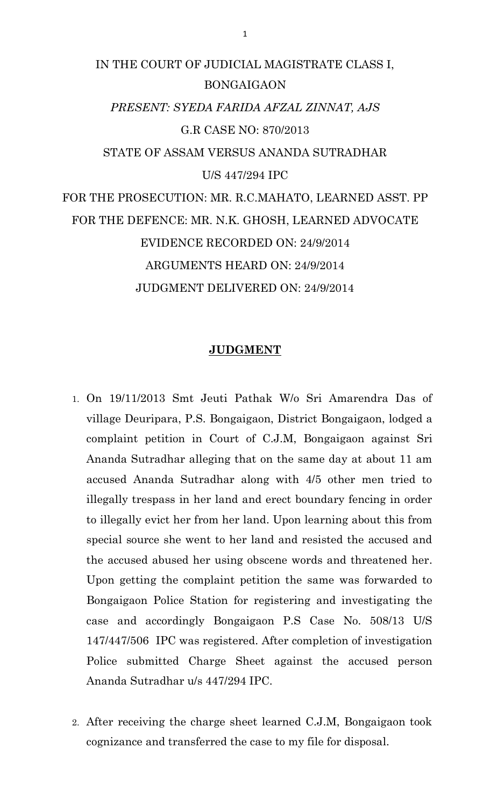# IN THE COURT OF JUDICIAL MAGISTRATE CLASS I, BONGAIGAON *PRESENT: SYEDA FARIDA AFZAL ZINNAT, AJS* G.R CASE NO: 870/2013 STATE OF ASSAM VERSUS ANANDA SUTRADHAR U/S 447/294 IPC FOR THE PROSECUTION: MR. R.C.MAHATO, LEARNED ASST. PP FOR THE DEFENCE: MR. N.K. GHOSH, LEARNED ADVOCATE EVIDENCE RECORDED ON: 24/9/2014 ARGUMENTS HEARD ON: 24/9/2014 JUDGMENT DELIVERED ON: 24/9/2014

### **JUDGMENT**

- 1. On 19/11/2013 Smt Jeuti Pathak W/o Sri Amarendra Das of village Deuripara, P.S. Bongaigaon, District Bongaigaon, lodged a complaint petition in Court of C.J.M, Bongaigaon against Sri Ananda Sutradhar alleging that on the same day at about 11 am accused Ananda Sutradhar along with 4/5 other men tried to illegally trespass in her land and erect boundary fencing in order to illegally evict her from her land. Upon learning about this from special source she went to her land and resisted the accused and the accused abused her using obscene words and threatened her. Upon getting the complaint petition the same was forwarded to Bongaigaon Police Station for registering and investigating the case and accordingly Bongaigaon P.S Case No. 508/13 U/S 147/447/506 IPC was registered. After completion of investigation Police submitted Charge Sheet against the accused person Ananda Sutradhar u/s 447/294 IPC.
- 2. After receiving the charge sheet learned C.J.M, Bongaigaon took cognizance and transferred the case to my file for disposal.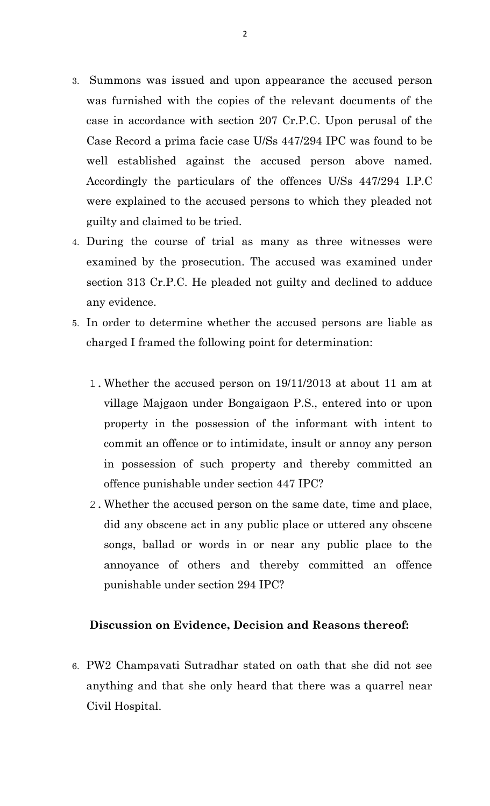- 3. Summons was issued and upon appearance the accused person was furnished with the copies of the relevant documents of the case in accordance with section 207 Cr.P.C. Upon perusal of the Case Record a prima facie case U/Ss 447/294 IPC was found to be well established against the accused person above named. Accordingly the particulars of the offences U/Ss 447/294 I.P.C were explained to the accused persons to which they pleaded not guilty and claimed to be tried.
- 4. During the course of trial as many as three witnesses were examined by the prosecution. The accused was examined under section 313 Cr.P.C. He pleaded not guilty and declined to adduce any evidence.
- 5. In order to determine whether the accused persons are liable as charged I framed the following point for determination:
	- 1.Whether the accused person on 19/11/2013 at about 11 am at village Majgaon under Bongaigaon P.S., entered into or upon property in the possession of the informant with intent to commit an offence or to intimidate, insult or annoy any person in possession of such property and thereby committed an offence punishable under section 447 IPC?
	- 2.Whether the accused person on the same date, time and place, did any obscene act in any public place or uttered any obscene songs, ballad or words in or near any public place to the annoyance of others and thereby committed an offence punishable under section 294 IPC?

## **Discussion on Evidence, Decision and Reasons thereof:**

6. PW2 Champavati Sutradhar stated on oath that she did not see anything and that she only heard that there was a quarrel near Civil Hospital.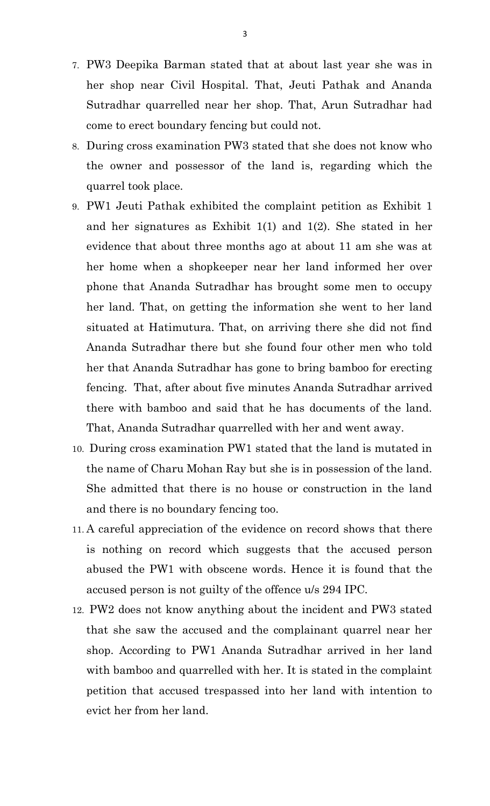- 7. PW3 Deepika Barman stated that at about last year she was in her shop near Civil Hospital. That, Jeuti Pathak and Ananda Sutradhar quarrelled near her shop. That, Arun Sutradhar had come to erect boundary fencing but could not.
- 8. During cross examination PW3 stated that she does not know who the owner and possessor of the land is, regarding which the quarrel took place.
- 9. PW1 Jeuti Pathak exhibited the complaint petition as Exhibit 1 and her signatures as Exhibit 1(1) and 1(2). She stated in her evidence that about three months ago at about 11 am she was at her home when a shopkeeper near her land informed her over phone that Ananda Sutradhar has brought some men to occupy her land. That, on getting the information she went to her land situated at Hatimutura. That, on arriving there she did not find Ananda Sutradhar there but she found four other men who told her that Ananda Sutradhar has gone to bring bamboo for erecting fencing. That, after about five minutes Ananda Sutradhar arrived there with bamboo and said that he has documents of the land. That, Ananda Sutradhar quarrelled with her and went away.
- 10. During cross examination PW1 stated that the land is mutated in the name of Charu Mohan Ray but she is in possession of the land. She admitted that there is no house or construction in the land and there is no boundary fencing too.
- 11. A careful appreciation of the evidence on record shows that there is nothing on record which suggests that the accused person abused the PW1 with obscene words. Hence it is found that the accused person is not guilty of the offence u/s 294 IPC.
- 12. PW2 does not know anything about the incident and PW3 stated that she saw the accused and the complainant quarrel near her shop. According to PW1 Ananda Sutradhar arrived in her land with bamboo and quarrelled with her. It is stated in the complaint petition that accused trespassed into her land with intention to evict her from her land.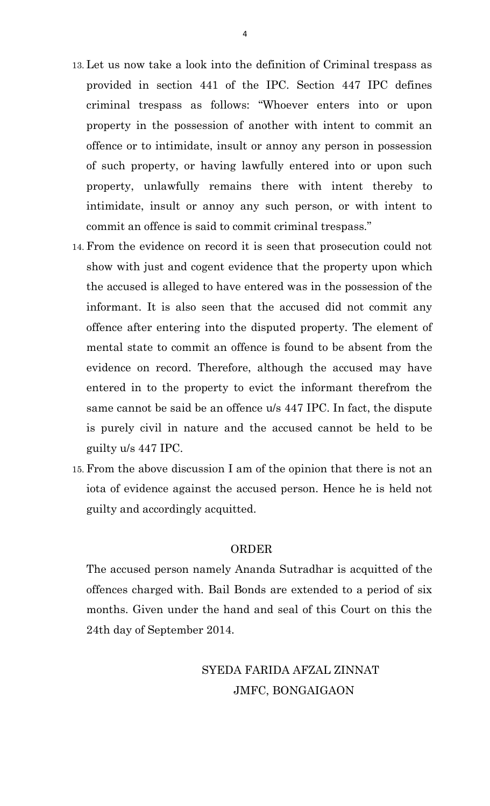- 13. Let us now take a look into the definition of Criminal trespass as provided in section 441 of the IPC. Section 447 IPC defines criminal trespass as follows: "Whoever enters into or upon property in the possession of another with intent to commit an offence or to intimidate, insult or annoy any person in possession of such property, or having lawfully entered into or upon such property, unlawfully remains there with intent thereby to intimidate, insult or annoy any such person, or with intent to commit an offence is said to commit criminal trespass."
- 14. From the evidence on record it is seen that prosecution could not show with just and cogent evidence that the property upon which the accused is alleged to have entered was in the possession of the informant. It is also seen that the accused did not commit any offence after entering into the disputed property. The element of mental state to commit an offence is found to be absent from the evidence on record. Therefore, although the accused may have entered in to the property to evict the informant therefrom the same cannot be said be an offence u/s 447 IPC. In fact, the dispute is purely civil in nature and the accused cannot be held to be guilty u/s 447 IPC.
- 15. From the above discussion I am of the opinion that there is not an iota of evidence against the accused person. Hence he is held not guilty and accordingly acquitted.

#### ORDER

The accused person namely Ananda Sutradhar is acquitted of the offences charged with. Bail Bonds are extended to a period of six months. Given under the hand and seal of this Court on this the 24th day of September 2014.

> SYEDA FARIDA AFZAL ZINNAT JMFC, BONGAIGAON